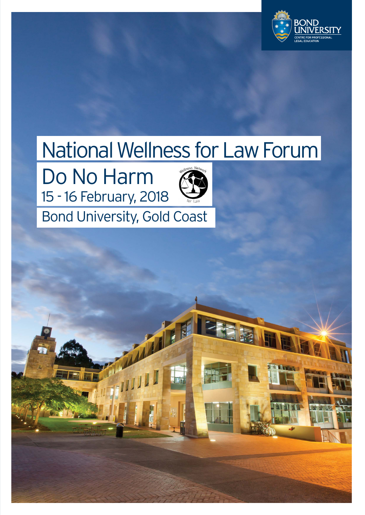

# National Wellness for Law Forum

Do No Harm 15 - 16 February, 2018



## Bond University, Gold Coast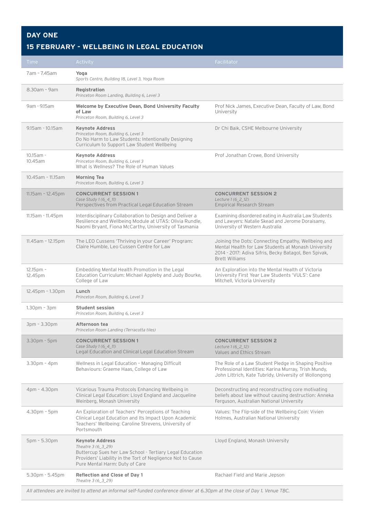## **DAY ONE**

## **15 FEBRUARY - WELLBEING IN LEGAL EDUCATION**

| 7am - 7.45am<br>Yoga<br>Sports Centre, Building 18, Level 3, Yoga Room<br>8.30am - 9am<br>Registration<br>Princeton Room Landing, Building 6, Level 3<br>9am - 9.15am<br><b>Welcome by Executive Dean, Bond University Faculty</b><br>Prof Nick James, Executive Dean, Faculty of Law, Bond<br>of Law<br>University<br>Princeton Room, Building 6, Level 3<br>9.15am - 10.15am<br><b>Keynote Address</b><br>Dr Chi Baik, CSHE Melbourne University<br>Princeton Room, Building 6, Level 3<br>Do No Harm to Law Students: Intentionally Designing<br>Curriculum to Support Law Student Wellbeing<br>10.15am -<br><b>Keynote Address</b><br>Prof Jonathan Crowe, Bond University<br>10.45am<br>Princeton Room, Building 6, Level 3<br>What is Wellness? The Role of Human Values<br>10.45am - 11.15am<br><b>Morning Tea</b><br>Princeton Room, Building 6, Level 3<br><b>CONCURRENT SESSION 1</b><br>$11.15am - 12.45pm$<br><b>CONCURRENT SESSION 2</b><br>Case Study 1 (6_4_11)<br>Lecture 1 (6 2 12)<br>Perspectives from Practical Legal Education Stream<br><b>Empirical Research Stream</b><br>Interdisciplinary Collaboration to Design and Deliver a<br>11.15am - 11.45pm<br>Examining disordered eating in Australia Law Students<br>Resilience and Wellbeing Module at UTAS: Olivia Rundle,<br>and Lawyers: Natalie Skead and Jerome Doraisamy,<br>Naomi Bryant, Fiona McCarthy, University of Tasmania<br>University of Western Australia<br>The LEO Cussens 'Thriving in your Career' Program:<br>$11.45$ am - 12.15pm<br>Joining the Dots: Connecting Empathy, Wellbeing and<br>Claire Humble, Leo Cussen Centre for Law<br>Mental Health for Law Students at Monash University<br>2014 - 2017: Adiva Sifris, Becky Batagol, Ben Spivak,<br><b>Brett Williams</b><br>Embedding Mental Health Promotion in the Legal<br>An Exploration into the Mental Health of Victoria<br>$12.15$ pm -<br>Education Curriculum: Michael Appleby and Judy Bourke,<br>University First Year Law Students 'VULS': Cane<br>12.45pm<br>College of Law<br>Mitchell, Victoria University<br>12.45pm - 1.30pm<br>Lunch<br>Princeton Room, Building 6, Level 3<br>$1.30pm - 3pm$<br><b>Student session</b><br>Princeton Room, Building 6, Level 3<br>Afternoon tea<br>3pm - 3.30pm<br>Princeton Room Landing (Terracotta tiles)<br><b>CONCURRENT SESSION 1</b><br>3.30pm - 5pm<br><b>CONCURRENT SESSION 2</b><br>Case Study 1 (6_4_11)<br>Lecture 1 (6 2 12)<br>Legal Education and Clinical Legal Education Stream<br>Values and Ethics Stream<br>Wellness in Legal Education - Managing Difficult<br>The Role of a Law Student Pledge in Shaping Positive<br>$3.30pm - 4pm$<br>Behaviours: Graeme Haas, College of Law<br>Professional Identities: Karina Murray, Trish Mundy,<br>John Littrich, Kate Tubridy, University of Wollongong<br>4pm - 4.30pm<br>Vicarious Trauma Protocols Enhancing Wellbeing in<br>Deconstructing and reconstructing core motivating<br>Clinical Legal Education: Lloyd England and Jacqueline<br>beliefs about law without causing destruction: Anneka<br>Weinberg, Monash University<br>Ferguson, Australian National University<br>4.30pm - 5pm<br>An Exploration of Teachers' Perceptions of Teaching<br>Values: The Flip-side of the Wellbeing Coin: Vivien<br>Clinical Legal Education and Its Impact Upon Academic<br>Holmes, Australian National University<br>Teachers' Wellbeing: Caroline Strevens, University of<br>Portsmouth<br>5pm - 5.30pm<br><b>Keynote Address</b><br>Lloyd England, Monash University<br>Theatre 3 (6_3_29)<br>Buttercup Sues her Law School - Tertiary Legal Education | Time | Activity                                                    | Facilitator |
|------------------------------------------------------------------------------------------------------------------------------------------------------------------------------------------------------------------------------------------------------------------------------------------------------------------------------------------------------------------------------------------------------------------------------------------------------------------------------------------------------------------------------------------------------------------------------------------------------------------------------------------------------------------------------------------------------------------------------------------------------------------------------------------------------------------------------------------------------------------------------------------------------------------------------------------------------------------------------------------------------------------------------------------------------------------------------------------------------------------------------------------------------------------------------------------------------------------------------------------------------------------------------------------------------------------------------------------------------------------------------------------------------------------------------------------------------------------------------------------------------------------------------------------------------------------------------------------------------------------------------------------------------------------------------------------------------------------------------------------------------------------------------------------------------------------------------------------------------------------------------------------------------------------------------------------------------------------------------------------------------------------------------------------------------------------------------------------------------------------------------------------------------------------------------------------------------------------------------------------------------------------------------------------------------------------------------------------------------------------------------------------------------------------------------------------------------------------------------------------------------------------------------------------------------------------------------------------------------------------------------------------------------------------------------------------------------------------------------------------------------------------------------------------------------------------------------------------------------------------------------------------------------------------------------------------------------------------------------------------------------------------------------------------------------------------------------------------------------------------------------------------------------------------------------------------------------------------------------------------------------------------------------------------------------------------------------------------------------------------------------------------------------------------------------------------------------------------------------------------------------------------------------------------------------------------------------------------------------------------------------|------|-------------------------------------------------------------|-------------|
|                                                                                                                                                                                                                                                                                                                                                                                                                                                                                                                                                                                                                                                                                                                                                                                                                                                                                                                                                                                                                                                                                                                                                                                                                                                                                                                                                                                                                                                                                                                                                                                                                                                                                                                                                                                                                                                                                                                                                                                                                                                                                                                                                                                                                                                                                                                                                                                                                                                                                                                                                                                                                                                                                                                                                                                                                                                                                                                                                                                                                                                                                                                                                                                                                                                                                                                                                                                                                                                                                                                                                                                                                              |      |                                                             |             |
|                                                                                                                                                                                                                                                                                                                                                                                                                                                                                                                                                                                                                                                                                                                                                                                                                                                                                                                                                                                                                                                                                                                                                                                                                                                                                                                                                                                                                                                                                                                                                                                                                                                                                                                                                                                                                                                                                                                                                                                                                                                                                                                                                                                                                                                                                                                                                                                                                                                                                                                                                                                                                                                                                                                                                                                                                                                                                                                                                                                                                                                                                                                                                                                                                                                                                                                                                                                                                                                                                                                                                                                                                              |      |                                                             |             |
|                                                                                                                                                                                                                                                                                                                                                                                                                                                                                                                                                                                                                                                                                                                                                                                                                                                                                                                                                                                                                                                                                                                                                                                                                                                                                                                                                                                                                                                                                                                                                                                                                                                                                                                                                                                                                                                                                                                                                                                                                                                                                                                                                                                                                                                                                                                                                                                                                                                                                                                                                                                                                                                                                                                                                                                                                                                                                                                                                                                                                                                                                                                                                                                                                                                                                                                                                                                                                                                                                                                                                                                                                              |      |                                                             |             |
|                                                                                                                                                                                                                                                                                                                                                                                                                                                                                                                                                                                                                                                                                                                                                                                                                                                                                                                                                                                                                                                                                                                                                                                                                                                                                                                                                                                                                                                                                                                                                                                                                                                                                                                                                                                                                                                                                                                                                                                                                                                                                                                                                                                                                                                                                                                                                                                                                                                                                                                                                                                                                                                                                                                                                                                                                                                                                                                                                                                                                                                                                                                                                                                                                                                                                                                                                                                                                                                                                                                                                                                                                              |      |                                                             |             |
|                                                                                                                                                                                                                                                                                                                                                                                                                                                                                                                                                                                                                                                                                                                                                                                                                                                                                                                                                                                                                                                                                                                                                                                                                                                                                                                                                                                                                                                                                                                                                                                                                                                                                                                                                                                                                                                                                                                                                                                                                                                                                                                                                                                                                                                                                                                                                                                                                                                                                                                                                                                                                                                                                                                                                                                                                                                                                                                                                                                                                                                                                                                                                                                                                                                                                                                                                                                                                                                                                                                                                                                                                              |      |                                                             |             |
|                                                                                                                                                                                                                                                                                                                                                                                                                                                                                                                                                                                                                                                                                                                                                                                                                                                                                                                                                                                                                                                                                                                                                                                                                                                                                                                                                                                                                                                                                                                                                                                                                                                                                                                                                                                                                                                                                                                                                                                                                                                                                                                                                                                                                                                                                                                                                                                                                                                                                                                                                                                                                                                                                                                                                                                                                                                                                                                                                                                                                                                                                                                                                                                                                                                                                                                                                                                                                                                                                                                                                                                                                              |      |                                                             |             |
|                                                                                                                                                                                                                                                                                                                                                                                                                                                                                                                                                                                                                                                                                                                                                                                                                                                                                                                                                                                                                                                                                                                                                                                                                                                                                                                                                                                                                                                                                                                                                                                                                                                                                                                                                                                                                                                                                                                                                                                                                                                                                                                                                                                                                                                                                                                                                                                                                                                                                                                                                                                                                                                                                                                                                                                                                                                                                                                                                                                                                                                                                                                                                                                                                                                                                                                                                                                                                                                                                                                                                                                                                              |      |                                                             |             |
|                                                                                                                                                                                                                                                                                                                                                                                                                                                                                                                                                                                                                                                                                                                                                                                                                                                                                                                                                                                                                                                                                                                                                                                                                                                                                                                                                                                                                                                                                                                                                                                                                                                                                                                                                                                                                                                                                                                                                                                                                                                                                                                                                                                                                                                                                                                                                                                                                                                                                                                                                                                                                                                                                                                                                                                                                                                                                                                                                                                                                                                                                                                                                                                                                                                                                                                                                                                                                                                                                                                                                                                                                              |      |                                                             |             |
|                                                                                                                                                                                                                                                                                                                                                                                                                                                                                                                                                                                                                                                                                                                                                                                                                                                                                                                                                                                                                                                                                                                                                                                                                                                                                                                                                                                                                                                                                                                                                                                                                                                                                                                                                                                                                                                                                                                                                                                                                                                                                                                                                                                                                                                                                                                                                                                                                                                                                                                                                                                                                                                                                                                                                                                                                                                                                                                                                                                                                                                                                                                                                                                                                                                                                                                                                                                                                                                                                                                                                                                                                              |      |                                                             |             |
|                                                                                                                                                                                                                                                                                                                                                                                                                                                                                                                                                                                                                                                                                                                                                                                                                                                                                                                                                                                                                                                                                                                                                                                                                                                                                                                                                                                                                                                                                                                                                                                                                                                                                                                                                                                                                                                                                                                                                                                                                                                                                                                                                                                                                                                                                                                                                                                                                                                                                                                                                                                                                                                                                                                                                                                                                                                                                                                                                                                                                                                                                                                                                                                                                                                                                                                                                                                                                                                                                                                                                                                                                              |      |                                                             |             |
|                                                                                                                                                                                                                                                                                                                                                                                                                                                                                                                                                                                                                                                                                                                                                                                                                                                                                                                                                                                                                                                                                                                                                                                                                                                                                                                                                                                                                                                                                                                                                                                                                                                                                                                                                                                                                                                                                                                                                                                                                                                                                                                                                                                                                                                                                                                                                                                                                                                                                                                                                                                                                                                                                                                                                                                                                                                                                                                                                                                                                                                                                                                                                                                                                                                                                                                                                                                                                                                                                                                                                                                                                              |      |                                                             |             |
|                                                                                                                                                                                                                                                                                                                                                                                                                                                                                                                                                                                                                                                                                                                                                                                                                                                                                                                                                                                                                                                                                                                                                                                                                                                                                                                                                                                                                                                                                                                                                                                                                                                                                                                                                                                                                                                                                                                                                                                                                                                                                                                                                                                                                                                                                                                                                                                                                                                                                                                                                                                                                                                                                                                                                                                                                                                                                                                                                                                                                                                                                                                                                                                                                                                                                                                                                                                                                                                                                                                                                                                                                              |      |                                                             |             |
|                                                                                                                                                                                                                                                                                                                                                                                                                                                                                                                                                                                                                                                                                                                                                                                                                                                                                                                                                                                                                                                                                                                                                                                                                                                                                                                                                                                                                                                                                                                                                                                                                                                                                                                                                                                                                                                                                                                                                                                                                                                                                                                                                                                                                                                                                                                                                                                                                                                                                                                                                                                                                                                                                                                                                                                                                                                                                                                                                                                                                                                                                                                                                                                                                                                                                                                                                                                                                                                                                                                                                                                                                              |      |                                                             |             |
|                                                                                                                                                                                                                                                                                                                                                                                                                                                                                                                                                                                                                                                                                                                                                                                                                                                                                                                                                                                                                                                                                                                                                                                                                                                                                                                                                                                                                                                                                                                                                                                                                                                                                                                                                                                                                                                                                                                                                                                                                                                                                                                                                                                                                                                                                                                                                                                                                                                                                                                                                                                                                                                                                                                                                                                                                                                                                                                                                                                                                                                                                                                                                                                                                                                                                                                                                                                                                                                                                                                                                                                                                              |      |                                                             |             |
|                                                                                                                                                                                                                                                                                                                                                                                                                                                                                                                                                                                                                                                                                                                                                                                                                                                                                                                                                                                                                                                                                                                                                                                                                                                                                                                                                                                                                                                                                                                                                                                                                                                                                                                                                                                                                                                                                                                                                                                                                                                                                                                                                                                                                                                                                                                                                                                                                                                                                                                                                                                                                                                                                                                                                                                                                                                                                                                                                                                                                                                                                                                                                                                                                                                                                                                                                                                                                                                                                                                                                                                                                              |      |                                                             |             |
|                                                                                                                                                                                                                                                                                                                                                                                                                                                                                                                                                                                                                                                                                                                                                                                                                                                                                                                                                                                                                                                                                                                                                                                                                                                                                                                                                                                                                                                                                                                                                                                                                                                                                                                                                                                                                                                                                                                                                                                                                                                                                                                                                                                                                                                                                                                                                                                                                                                                                                                                                                                                                                                                                                                                                                                                                                                                                                                                                                                                                                                                                                                                                                                                                                                                                                                                                                                                                                                                                                                                                                                                                              |      |                                                             |             |
|                                                                                                                                                                                                                                                                                                                                                                                                                                                                                                                                                                                                                                                                                                                                                                                                                                                                                                                                                                                                                                                                                                                                                                                                                                                                                                                                                                                                                                                                                                                                                                                                                                                                                                                                                                                                                                                                                                                                                                                                                                                                                                                                                                                                                                                                                                                                                                                                                                                                                                                                                                                                                                                                                                                                                                                                                                                                                                                                                                                                                                                                                                                                                                                                                                                                                                                                                                                                                                                                                                                                                                                                                              |      |                                                             |             |
| Pure Mental Harm: Duty of Care                                                                                                                                                                                                                                                                                                                                                                                                                                                                                                                                                                                                                                                                                                                                                                                                                                                                                                                                                                                                                                                                                                                                                                                                                                                                                                                                                                                                                                                                                                                                                                                                                                                                                                                                                                                                                                                                                                                                                                                                                                                                                                                                                                                                                                                                                                                                                                                                                                                                                                                                                                                                                                                                                                                                                                                                                                                                                                                                                                                                                                                                                                                                                                                                                                                                                                                                                                                                                                                                                                                                                                                               |      | Providers' Liability in the Tort of Negligence Not to Cause |             |
| <b>Reflection and Close of Day 1</b><br>$5.30pm - 5.45pm$<br>Rachael Field and Marie Jepson<br>Theatre 3 (6_3_29)                                                                                                                                                                                                                                                                                                                                                                                                                                                                                                                                                                                                                                                                                                                                                                                                                                                                                                                                                                                                                                                                                                                                                                                                                                                                                                                                                                                                                                                                                                                                                                                                                                                                                                                                                                                                                                                                                                                                                                                                                                                                                                                                                                                                                                                                                                                                                                                                                                                                                                                                                                                                                                                                                                                                                                                                                                                                                                                                                                                                                                                                                                                                                                                                                                                                                                                                                                                                                                                                                                            |      |                                                             |             |

*All attendees are invited to attend an informal self-funded conference dinner at 6.30pm at the close of Day 1. Venue TBC.*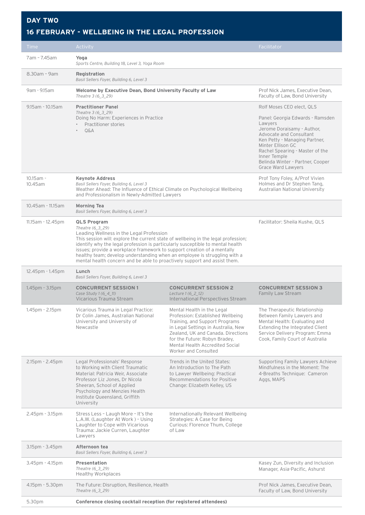### **DAY TWO**

#### **16 FEBRUARY - WELLBEING IN THE LEGAL PROFESSION**

| <b>Time</b>             | Activity                                                                                                                                                                                                                                                                                                                                                                                                                                                                                        |                                                                                                                                                                                                                                                                            | Facilitator                                                                                                                                                                                                                                                                                          |
|-------------------------|-------------------------------------------------------------------------------------------------------------------------------------------------------------------------------------------------------------------------------------------------------------------------------------------------------------------------------------------------------------------------------------------------------------------------------------------------------------------------------------------------|----------------------------------------------------------------------------------------------------------------------------------------------------------------------------------------------------------------------------------------------------------------------------|------------------------------------------------------------------------------------------------------------------------------------------------------------------------------------------------------------------------------------------------------------------------------------------------------|
| 7am - 7.45am            | Yoga<br>Sports Centre, Building 18, Level 3, Yoga Room                                                                                                                                                                                                                                                                                                                                                                                                                                          |                                                                                                                                                                                                                                                                            |                                                                                                                                                                                                                                                                                                      |
| 8.30am - 9am            | Registration<br>Basil Sellers Foyer, Building 6, Level 3                                                                                                                                                                                                                                                                                                                                                                                                                                        |                                                                                                                                                                                                                                                                            |                                                                                                                                                                                                                                                                                                      |
| 9am - 9.15am            | Welcome by Executive Dean, Bond University Faculty of Law<br>Theatre 3 (6 3 29)                                                                                                                                                                                                                                                                                                                                                                                                                 |                                                                                                                                                                                                                                                                            | Prof Nick James, Executive Dean,<br>Faculty of Law, Bond University                                                                                                                                                                                                                                  |
| 9.15am - 10.15am        | <b>Practitioner Panel</b><br>Theatre 3 (6 3 29)<br>Doing No Harm: Experiences in Practice<br>Practitioner stories<br>$O\&A$<br>$\bullet$                                                                                                                                                                                                                                                                                                                                                        |                                                                                                                                                                                                                                                                            | Rolf Moses CEO elect, QLS<br>Panel: Georgia Edwards - Ramsden<br>Lawyers<br>Jerome Doraisamy - Author,<br>Advocate and Consultant<br>Ken Petty - Managing Partner,<br>Minter Ellison GC<br>Rachel Spearing - Master of the<br>Inner Temple<br>Belinda Winter - Partner, Cooper<br>Grace Ward Lawyers |
| $10.15$ am -<br>10.45am | <b>Keynote Address</b><br>Basil Sellers Foyer, Building 6, Level 3<br>Weather Ahead: The Influence of Ethical Climate on Psychological Wellbeing<br>and Professionalism in Newly-Admitted Lawyers                                                                                                                                                                                                                                                                                               |                                                                                                                                                                                                                                                                            | Prof Tony Foley, A/Prof Vivien<br>Holmes and Dr Stephen Tang,<br>Australian National University                                                                                                                                                                                                      |
| 10.45am - 11.15am       | <b>Morning Tea</b><br>Basil Sellers Foyer, Building 6, Level 3                                                                                                                                                                                                                                                                                                                                                                                                                                  |                                                                                                                                                                                                                                                                            |                                                                                                                                                                                                                                                                                                      |
| 11.15am - 12.45pm       | <b>QLS Program</b><br>Theatre (6_3_29)<br>Leading Wellness in the Legal Profession<br>This session will: explore the current state of wellbeing in the legal profession;<br>identify why the legal profession is particularly susceptible to mental health<br>issues; provide a workplace framework to support creation of a mentally<br>healthy team; develop understanding when an employee is struggling with a<br>mental health concern and be able to proactively support and assist them. |                                                                                                                                                                                                                                                                            | Facilitator: Sheila Kushe, QLS                                                                                                                                                                                                                                                                       |
| 12.45pm - 1.45pm        | Lunch<br>Basil Sellers Foyer, Building 6, Level 3                                                                                                                                                                                                                                                                                                                                                                                                                                               |                                                                                                                                                                                                                                                                            |                                                                                                                                                                                                                                                                                                      |
| 1.45pm - 3.15pm         | <b>CONCURRENT SESSION 1</b><br>Case Study 1 (6 4 11)<br>Vicarious Trauma Stream                                                                                                                                                                                                                                                                                                                                                                                                                 | <b>CONCURRENT SESSION 2</b><br>Lecture 1 (6_2_12)<br><b>International Perspectives Stream</b>                                                                                                                                                                              | <b>CONCURRENT SESSION 3</b><br><b>Family Law Stream</b>                                                                                                                                                                                                                                              |
| $1.45$ pm - 2.15pm      | Vicarious Trauma in Legal Practice:<br>Dr Colin James, Australian National<br>University and University of<br>Newcastle                                                                                                                                                                                                                                                                                                                                                                         | Mental Health in the Legal<br>Profession: Established Wellbeing<br>Training, and Support Programs<br>in Legal Settings in Australia, New<br>Zealand, UK and Canada. Directions<br>for the Future: Robyn Bradey,<br>Mental Health Accredited Social<br>Worker and Consulted | The Therapeutic Relationship<br>Between Family Lawyers and<br>Mental Health: Evaluating and<br>Extending the Integrated Client<br>Service Delivery Program: Emma<br>Cook, Family Court of Australia                                                                                                  |
| 2.15pm - 2.45pm         | Legal Professionals' Response<br>to Working with Client Traumatic<br>Material: Patricia Weir, Associate<br>Professor Liz Jones, Dr Nicola<br>Sheeran, School of Applied<br>Psychology and Menzies Health<br>Institute Queensland, Griffith<br>University                                                                                                                                                                                                                                        | Trends in the United States:<br>An Introduction to The Path<br>to Lawyer Wellbeing: Practical<br>Recommendations for Positive<br>Change: Elizabeth Kelley, US                                                                                                              | Supporting Family Lawyers Achieve<br>Mindfulness in the Moment: The<br>4-Breaths Technique: Cameron<br>Aggs, MAPS                                                                                                                                                                                    |
| 2.45pm - 3.15pm         | Stress Less - Laugh More - It's the<br>L.A.W. (Laughter At Work) - Using<br>Laughter to Cope with Vicarious<br>Trauma: Jackie Curren, Laughter<br>Lawyers                                                                                                                                                                                                                                                                                                                                       | Internationally Relevant Wellbeing<br>Strategies: A Case for Being<br>Curious: Florence Thum, College<br>of Law                                                                                                                                                            |                                                                                                                                                                                                                                                                                                      |
| 3.15pm - 3.45pm         | Afternoon tea<br>Basil Sellers Foyer, Building 6, Level 3                                                                                                                                                                                                                                                                                                                                                                                                                                       |                                                                                                                                                                                                                                                                            |                                                                                                                                                                                                                                                                                                      |
| $3.45$ pm - $4.15$ pm   | <b>Presentation</b><br>Theatre (6_3_29)<br><b>Healthy Workplaces</b>                                                                                                                                                                                                                                                                                                                                                                                                                            |                                                                                                                                                                                                                                                                            | Kasey Zun, Diversity and Inclusion<br>Manager, Asia-Pacific, Ashurst                                                                                                                                                                                                                                 |
| 4.15pm - 5.30pm         | The Future: Disruption, Resilience, Health<br>Theatre (6_3_29)                                                                                                                                                                                                                                                                                                                                                                                                                                  |                                                                                                                                                                                                                                                                            | Prof Nick James, Executive Dean,<br>Faculty of Law, Bond University                                                                                                                                                                                                                                  |
| 5.30pm                  | Conference closing cocktail reception (for registered attendees)                                                                                                                                                                                                                                                                                                                                                                                                                                |                                                                                                                                                                                                                                                                            |                                                                                                                                                                                                                                                                                                      |